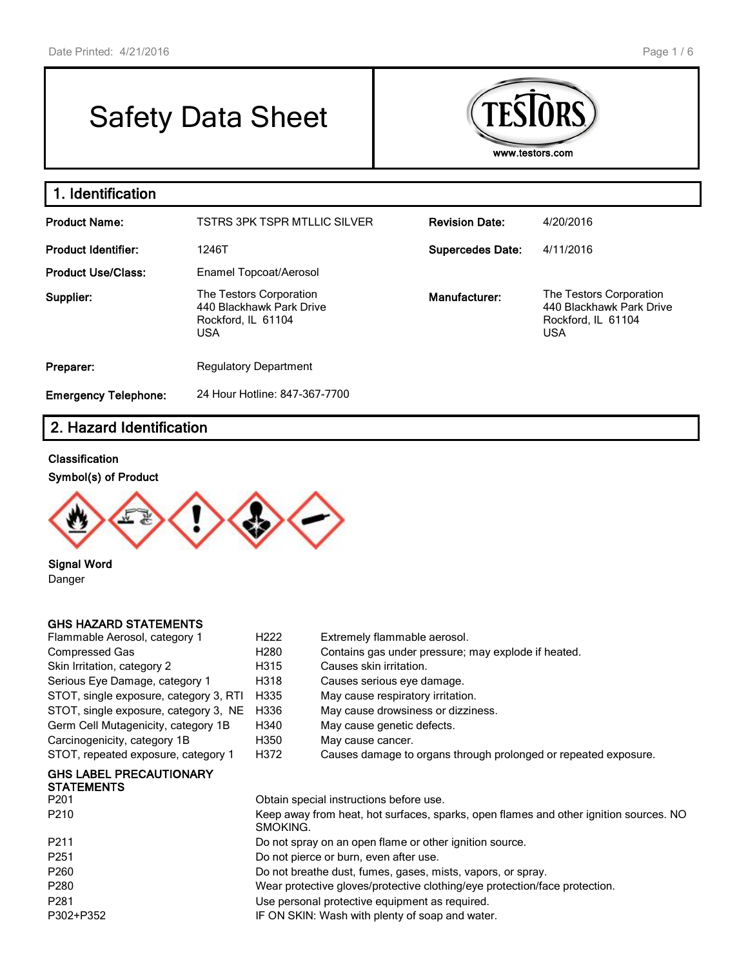# Safety Data Sheet



#### **1. Identification Product Name:** TSTRS 3PK TSPR MTLLIC SILVER **Revision Date:** 4/20/2016 Product Identifier: 1246T 1246T **Supercedes Date:** 4/11/2016 **Product Use/Class:** Enamel Topcoat/Aerosol **Supplier:** The Testors Corporation 440 Blackhawk Park Drive Rockford, IL 61104 USA **Manufacturer:** The Testors Corporation 440 Blackhawk Park Drive Rockford, IL 61104 USA **Preparer:** Regulatory Department **Emergency Telephone:** 24 Hour Hotline: 847-367-7700

# **2. Hazard Identification**

#### **Classification**

**Symbol(s) of Product**



**Signal Word** Danger

#### **GHS HAZARD STATEMENTS**

| Flammable Aerosol, category 1                       | H <sub>222</sub> | Extremely flammable aerosol.                                    |
|-----------------------------------------------------|------------------|-----------------------------------------------------------------|
| Compressed Gas                                      | H <sub>280</sub> | Contains gas under pressure; may explode if heated.             |
| Skin Irritation, category 2                         | H315             | Causes skin irritation.                                         |
| Serious Eye Damage, category 1                      | H318             | Causes serious eye damage.                                      |
| STOT, single exposure, category 3, RTI              | H335             | May cause respiratory irritation.                               |
| STOT, single exposure, category 3, NE               | H336             | May cause drowsiness or dizziness.                              |
| Germ Cell Mutagenicity, category 1B                 | H340             | May cause genetic defects.                                      |
| Carcinogenicity, category 1B                        | H350             | May cause cancer.                                               |
| STOT, repeated exposure, category 1                 | H372             | Causes damage to organs through prolonged or repeated exposure. |
| <b>GHS LABEL PRECAUTIONARY</b><br><b>CTATEMENTO</b> |                  |                                                                 |

| SIAIEMENIS       |                                                                                                   |
|------------------|---------------------------------------------------------------------------------------------------|
| P <sub>201</sub> | Obtain special instructions before use.                                                           |
| P210             | Keep away from heat, hot surfaces, sparks, open flames and other ignition sources. NO<br>SMOKING. |
| P <sub>211</sub> | Do not spray on an open flame or other ignition source.                                           |
| P <sub>251</sub> | Do not pierce or burn, even after use.                                                            |
| P <sub>260</sub> | Do not breathe dust, fumes, gases, mists, vapors, or spray.                                       |
| P <sub>280</sub> | Wear protective gloves/protective clothing/eye protection/face protection.                        |
| P <sub>281</sub> | Use personal protective equipment as required.                                                    |
| P302+P352        | IF ON SKIN: Wash with plenty of soap and water.                                                   |
|                  |                                                                                                   |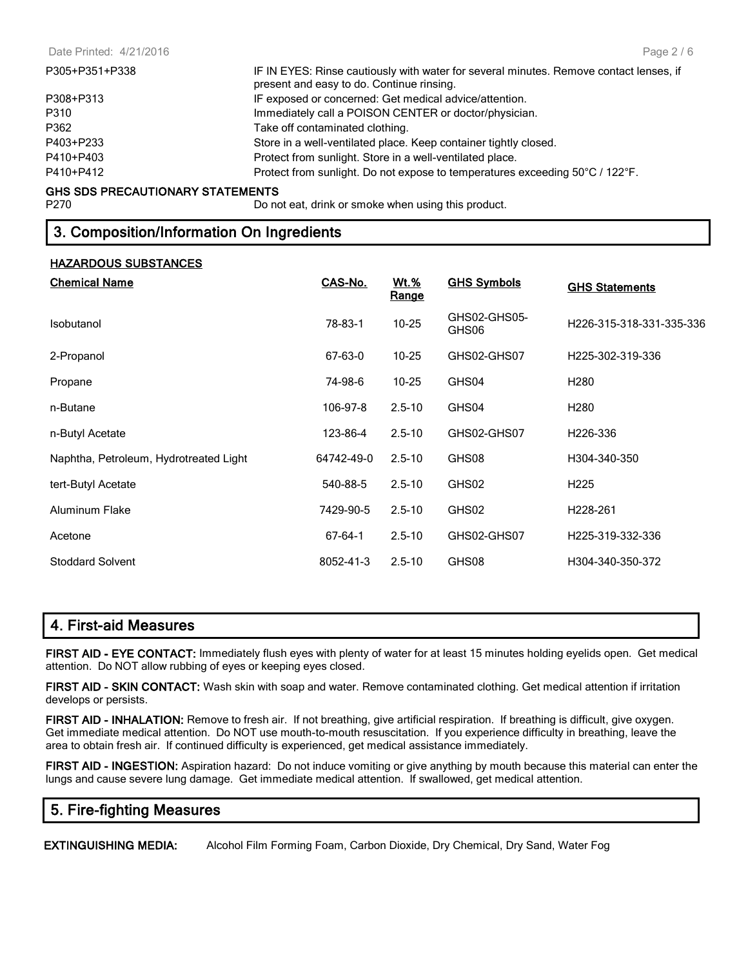| P305+P351+P338 | IF IN EYES: Rinse cautiously with water for several minutes. Remove contact lenses, if<br>present and easy to do. Continue rinsing. |
|----------------|-------------------------------------------------------------------------------------------------------------------------------------|
| P308+P313      | IF exposed or concerned: Get medical advice/attention.                                                                              |
| P310           | Immediately call a POISON CENTER or doctor/physician.                                                                               |
| P362           | Take off contaminated clothing.                                                                                                     |
| P403+P233      | Store in a well-ventilated place. Keep container tightly closed.                                                                    |
| P410+P403      | Protect from sunlight. Store in a well-ventilated place.                                                                            |
| P410+P412      | Protect from sunlight. Do not expose to temperatures exceeding 50°C / 122°F.                                                        |
|                |                                                                                                                                     |

# **GHS SDS PRECAUTIONARY STATEMENTS**<br>P270 Do no

Do not eat, drink or smoke when using this product.

#### **3. Composition/Information On Ingredients**

#### **HAZARDOUS SUBSTANCES**

| <b>Chemical Name</b>                   | CAS-No.    | <u>Wt.%</u><br><u>Range</u> | <b>GHS Symbols</b>    | <b>GHS Statements</b>    |
|----------------------------------------|------------|-----------------------------|-----------------------|--------------------------|
| Isobutanol                             | 78-83-1    | 10-25                       | GHS02-GHS05-<br>GHS06 | H226-315-318-331-335-336 |
| 2-Propanol                             | 67-63-0    | $10 - 25$                   | GHS02-GHS07           | H225-302-319-336         |
| Propane                                | 74-98-6    | $10 - 25$                   | GHS04                 | H <sub>2</sub> 80        |
| n-Butane                               | 106-97-8   | $2.5 - 10$                  | GHS04                 | H <sub>280</sub>         |
| n-Butyl Acetate                        | 123-86-4   | $2.5 - 10$                  | GHS02-GHS07           | H <sub>226</sub> -336    |
| Naphtha, Petroleum, Hydrotreated Light | 64742-49-0 | $2.5 - 10$                  | GHS08                 | H304-340-350             |
| tert-Butyl Acetate                     | 540-88-5   | $2.5 - 10$                  | GHS02                 | H <sub>225</sub>         |
| <b>Aluminum Flake</b>                  | 7429-90-5  | $2.5 - 10$                  | GHS02                 | H <sub>228</sub> -261    |
| Acetone                                | 67-64-1    | $2.5 - 10$                  | GHS02-GHS07           | H225-319-332-336         |
| <b>Stoddard Solvent</b>                | 8052-41-3  | $2.5 - 10$                  | GHS08                 | H304-340-350-372         |

# **4. First-aid Measures**

**FIRST AID - EYE CONTACT:** Immediately flush eyes with plenty of water for at least 15 minutes holding eyelids open. Get medical attention. Do NOT allow rubbing of eyes or keeping eyes closed.

**FIRST AID - SKIN CONTACT:** Wash skin with soap and water. Remove contaminated clothing. Get medical attention if irritation develops or persists.

**FIRST AID - INHALATION:** Remove to fresh air. If not breathing, give artificial respiration. If breathing is difficult, give oxygen. Get immediate medical attention. Do NOT use mouth-to-mouth resuscitation. If you experience difficulty in breathing, leave the area to obtain fresh air. If continued difficulty is experienced, get medical assistance immediately.

**FIRST AID - INGESTION:** Aspiration hazard: Do not induce vomiting or give anything by mouth because this material can enter the lungs and cause severe lung damage. Get immediate medical attention. If swallowed, get medical attention.

#### **5. Fire-fighting Measures**

**EXTINGUISHING MEDIA:** Alcohol Film Forming Foam, Carbon Dioxide, Dry Chemical, Dry Sand, Water Fog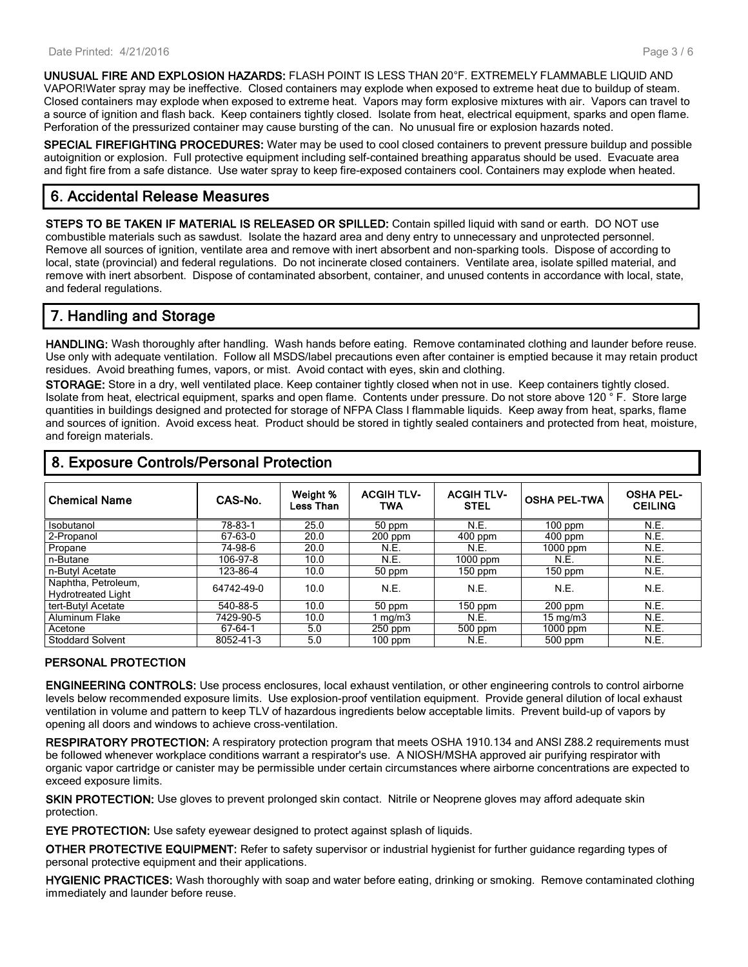**UNUSUAL FIRE AND EXPLOSION HAZARDS:** FLASH POINT IS LESS THAN 20°F. EXTREMELY FLAMMABLE LIQUID AND VAPOR!Water spray may be ineffective. Closed containers may explode when exposed to extreme heat due to buildup of steam. Closed containers may explode when exposed to extreme heat. Vapors may form explosive mixtures with air. Vapors can travel to a source of ignition and flash back. Keep containers tightly closed. Isolate from heat, electrical equipment, sparks and open flame. Perforation of the pressurized container may cause bursting of the can. No unusual fire or explosion hazards noted.

**SPECIAL FIREFIGHTING PROCEDURES:** Water may be used to cool closed containers to prevent pressure buildup and possible autoignition or explosion. Full protective equipment including self-contained breathing apparatus should be used. Evacuate area and fight fire from a safe distance. Use water spray to keep fire-exposed containers cool. Containers may explode when heated.

# **6. Accidental Release Measures**

**STEPS TO BE TAKEN IF MATERIAL IS RELEASED OR SPILLED:** Contain spilled liquid with sand or earth. DO NOT use combustible materials such as sawdust. Isolate the hazard area and deny entry to unnecessary and unprotected personnel. Remove all sources of ignition, ventilate area and remove with inert absorbent and non-sparking tools. Dispose of according to local, state (provincial) and federal regulations. Do not incinerate closed containers. Ventilate area, isolate spilled material, and remove with inert absorbent. Dispose of contaminated absorbent, container, and unused contents in accordance with local, state, and federal regulations.

# **7. Handling and Storage**

**HANDLING:** Wash thoroughly after handling. Wash hands before eating. Remove contaminated clothing and launder before reuse. Use only with adequate ventilation. Follow all MSDS/label precautions even after container is emptied because it may retain product residues. Avoid breathing fumes, vapors, or mist. Avoid contact with eyes, skin and clothing.

**STORAGE:** Store in a dry, well ventilated place. Keep container tightly closed when not in use. Keep containers tightly closed. Isolate from heat, electrical equipment, sparks and open flame. Contents under pressure. Do not store above 120 ° F. Store large quantities in buildings designed and protected for storage of NFPA Class I flammable liquids. Keep away from heat, sparks, flame and sources of ignition. Avoid excess heat. Product should be stored in tightly sealed containers and protected from heat, moisture, and foreign materials.

| <b>Chemical Name</b>                             | CAS-No.    | Weight %<br>Less Than | <b>ACGIH TLV-</b><br>TWA | <b>ACGIH TLV-</b><br><b>STEL</b> | <b>OSHA PEL-TWA</b> | <b>OSHA PEL-</b><br><b>CEILING</b> |
|--------------------------------------------------|------------|-----------------------|--------------------------|----------------------------------|---------------------|------------------------------------|
| Isobutanol                                       | 78-83-1    | 25.0                  | 50 ppm                   | N.E.                             | $100$ ppm           | N.E.                               |
| 2-Propanol                                       | 67-63-0    | 20.0                  | $200$ ppm                | 400 ppm                          | 400 ppm             | N.E.                               |
| Propane                                          | 74-98-6    | 20.0                  | <b>N.E.</b>              | N.E.                             | $1000$ ppm          | N.E.                               |
| n-Butane                                         | 106-97-8   | 10.0                  | N.E.                     | 1000 ppm                         | N.E.                | N.E.                               |
| n-Butyl Acetate                                  | 123-86-4   | 10.0                  | 50 ppm                   | $150$ ppm                        | $150$ ppm           | N.E.                               |
| Naphtha, Petroleum,<br><b>Hydrotreated Light</b> | 64742-49-0 | 10.0                  | N.E.                     | N.E.                             | N.E.                | N.E.                               |
| tert-Butyl Acetate                               | 540-88-5   | 10.0                  | 50 ppm                   | 150 ppm                          | $200$ ppm           | N.E.                               |
| Aluminum Flake                                   | 7429-90-5  | 10.0                  | mg/m3                    | N.E.                             | $15 \text{ mg/m}$   | N.E.                               |
| Acetone                                          | 67-64-1    | 5.0                   | $250$ ppm                | 500 ppm                          | $1000$ ppm          | N.E.                               |
| <b>Stoddard Solvent</b>                          | 8052-41-3  | 5.0                   | $100$ ppm                | N.E.                             | 500 ppm             | N.E.                               |

# **8. Exposure Controls/Personal Protection**

#### **PERSONAL PROTECTION**

**ENGINEERING CONTROLS:** Use process enclosures, local exhaust ventilation, or other engineering controls to control airborne levels below recommended exposure limits. Use explosion-proof ventilation equipment. Provide general dilution of local exhaust ventilation in volume and pattern to keep TLV of hazardous ingredients below acceptable limits. Prevent build-up of vapors by opening all doors and windows to achieve cross-ventilation.

**RESPIRATORY PROTECTION:** A respiratory protection program that meets OSHA 1910.134 and ANSI Z88.2 requirements must be followed whenever workplace conditions warrant a respirator's use. A NIOSH/MSHA approved air purifying respirator with organic vapor cartridge or canister may be permissible under certain circumstances where airborne concentrations are expected to exceed exposure limits.

**SKIN PROTECTION:** Use gloves to prevent prolonged skin contact. Nitrile or Neoprene gloves may afford adequate skin protection.

**EYE PROTECTION:** Use safety eyewear designed to protect against splash of liquids.

**OTHER PROTECTIVE EQUIPMENT:** Refer to safety supervisor or industrial hygienist for further guidance regarding types of personal protective equipment and their applications.

**HYGIENIC PRACTICES:** Wash thoroughly with soap and water before eating, drinking or smoking. Remove contaminated clothing immediately and launder before reuse.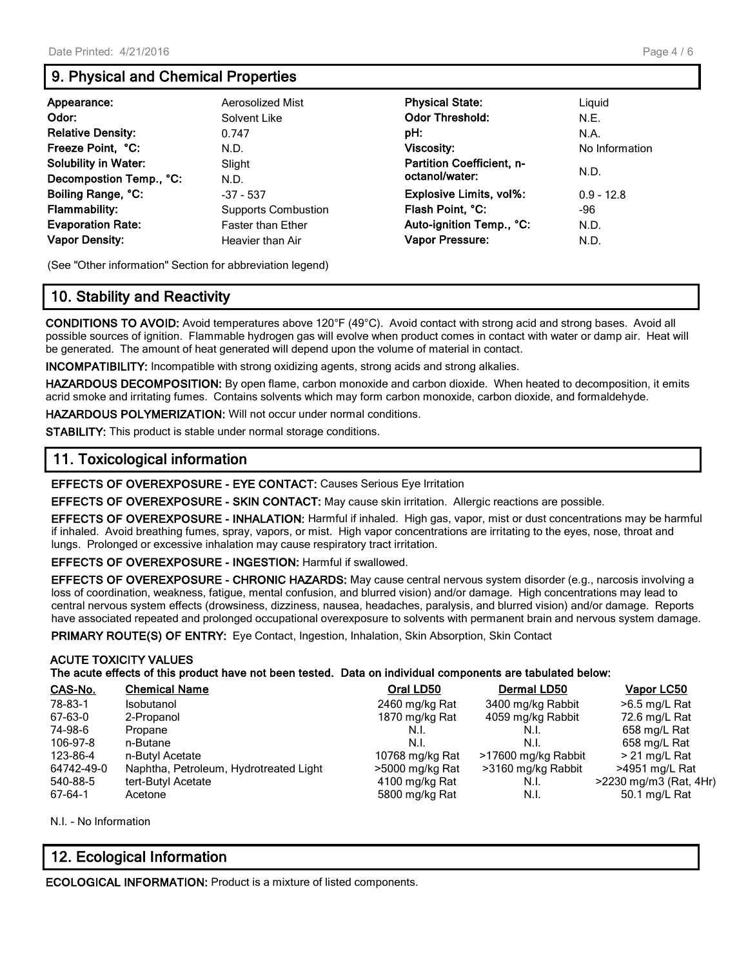# **9. Physical and Chemical Properties**

| Appearance:                 | Aerosolized Mist           | <b>Physical State:</b>           | Liguid         |
|-----------------------------|----------------------------|----------------------------------|----------------|
| Odor:                       | Solvent Like               | <b>Odor Threshold:</b>           | N.E.           |
| <b>Relative Density:</b>    | 0.747                      | pH:                              | N.A.           |
| Freeze Point, °C:           | N.D.                       | <b>Viscosity:</b>                | No Information |
| <b>Solubility in Water:</b> | Slight                     | <b>Partition Coefficient, n-</b> |                |
| Decompostion Temp., °C:     | N.D.                       | octanol/water:                   | N.D.           |
| Boiling Range, °C:          | $-37 - 537$                | <b>Explosive Limits, vol%:</b>   | $0.9 - 12.8$   |
| <b>Flammability:</b>        | <b>Supports Combustion</b> | Flash Point, °C:                 | -96            |
| <b>Evaporation Rate:</b>    | <b>Faster than Ether</b>   | Auto-ignition Temp., °C:         | N.D.           |
| <b>Vapor Density:</b>       | Heavier than Air           | Vapor Pressure:                  | N.D.           |

(See "Other information" Section for abbreviation legend)

# **10. Stability and Reactivity**

**CONDITIONS TO AVOID:** Avoid temperatures above 120°F (49°C). Avoid contact with strong acid and strong bases. Avoid all possible sources of ignition. Flammable hydrogen gas will evolve when product comes in contact with water or damp air. Heat will be generated. The amount of heat generated will depend upon the volume of material in contact.

**INCOMPATIBILITY:** Incompatible with strong oxidizing agents, strong acids and strong alkalies.

**HAZARDOUS DECOMPOSITION:** By open flame, carbon monoxide and carbon dioxide. When heated to decomposition, it emits acrid smoke and irritating fumes. Contains solvents which may form carbon monoxide, carbon dioxide, and formaldehyde.

**HAZARDOUS POLYMERIZATION:** Will not occur under normal conditions.

**STABILITY:** This product is stable under normal storage conditions.

### **11. Toxicological information**

**EFFECTS OF OVEREXPOSURE - EYE CONTACT:** Causes Serious Eye Irritation

**EFFECTS OF OVEREXPOSURE - SKIN CONTACT:** May cause skin irritation. Allergic reactions are possible.

**EFFECTS OF OVEREXPOSURE - INHALATION:** Harmful if inhaled. High gas, vapor, mist or dust concentrations may be harmful if inhaled. Avoid breathing fumes, spray, vapors, or mist. High vapor concentrations are irritating to the eyes, nose, throat and lungs. Prolonged or excessive inhalation may cause respiratory tract irritation.

**EFFECTS OF OVEREXPOSURE - INGESTION:** Harmful if swallowed.

**EFFECTS OF OVEREXPOSURE - CHRONIC HAZARDS:** May cause central nervous system disorder (e.g., narcosis involving a loss of coordination, weakness, fatigue, mental confusion, and blurred vision) and/or damage. High concentrations may lead to central nervous system effects (drowsiness, dizziness, nausea, headaches, paralysis, and blurred vision) and/or damage. Reports have associated repeated and prolonged occupational overexposure to solvents with permanent brain and nervous system damage.

PRIMARY ROUTE(S) OF ENTRY: Eye Contact, Ingestion, Inhalation, Skin Absorption, Skin Contact

#### **ACUTE TOXICITY VALUES**

**The acute effects of this product have not been tested. Data on individual components are tabulated below:**

| CAS-No.    | <b>Chemical Name</b>                   | Oral LD50       | <b>Dermal LD50</b>  | Vapor LC50             |
|------------|----------------------------------------|-----------------|---------------------|------------------------|
| 78-83-1    | <b>Isobutanol</b>                      | 2460 mg/kg Rat  | 3400 mg/kg Rabbit   | $>6.5$ mg/L Rat        |
| 67-63-0    | 2-Propanol                             | 1870 mg/kg Rat  | 4059 mg/kg Rabbit   | 72.6 mg/L Rat          |
| 74-98-6    | Propane                                | N.I.            | N.I.                | 658 mg/L Rat           |
| 106-97-8   | n-Butane                               | N.I.            | N.I.                | 658 mg/L Rat           |
| 123-86-4   | n-Butyl Acetate                        | 10768 mg/kg Rat | >17600 mg/kg Rabbit | > 21 mg/L Rat          |
| 64742-49-0 | Naphtha, Petroleum, Hydrotreated Light | >5000 mg/kg Rat | >3160 mg/kg Rabbit  | >4951 mg/L Rat         |
| 540-88-5   | tert-Butyl Acetate                     | 4100 mg/kg Rat  | N.I.                | >2230 mg/m3 (Rat, 4Hr) |
| 67-64-1    | Acetone                                | 5800 mg/kg Rat  | N.I.                | 50.1 mg/L Rat          |

N.I. - No Information

# **12. Ecological Information**

**ECOLOGICAL INFORMATION:** Product is a mixture of listed components.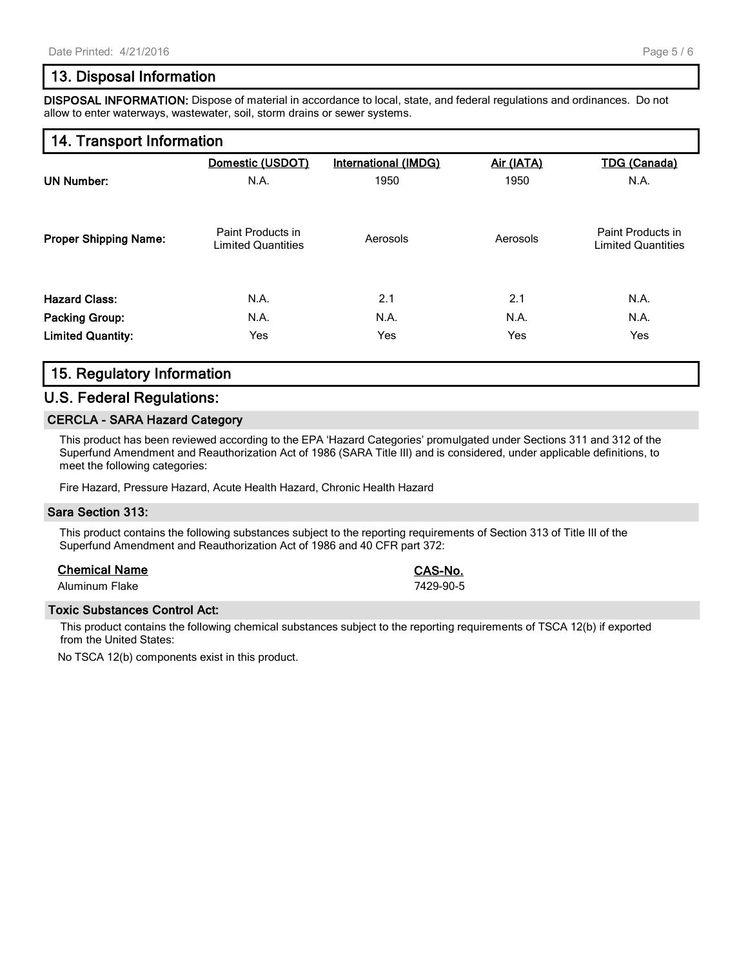# **13. Disposal Information**

**DISPOSAL INFORMATION:** Dispose of material in accordance to local, state, and federal regulations and ordinances. Do not allow to enter waterways, wastewater, soil, storm drains or sewer systems.

## **14. Transport Information**

|                              | Domestic (USDOT)                               | <b>International (IMDG)</b> | Air (IATA) | <b>TDG (Canada)</b>                            |
|------------------------------|------------------------------------------------|-----------------------------|------------|------------------------------------------------|
| <b>UN Number:</b>            | N.A.                                           | 1950                        | 1950       | N.A.                                           |
| <b>Proper Shipping Name:</b> | Paint Products in<br><b>Limited Quantities</b> | Aerosols                    | Aerosols   | Paint Products in<br><b>Limited Quantities</b> |
| <b>Hazard Class:</b>         | N.A.                                           | 2.1                         | 2.1        | N.A.                                           |
| <b>Packing Group:</b>        | N.A.                                           | N.A.                        | N.A.       | N.A.                                           |
| <b>Limited Quantity:</b>     | Yes                                            | Yes                         | Yes        | Yes                                            |

# **15. Regulatory Information**

#### **U.S. Federal Regulations:**

#### **CERCLA - SARA Hazard Category**

This product has been reviewed according to the EPA 'Hazard Categories' promulgated under Sections 311 and 312 of the Superfund Amendment and Reauthorization Act of 1986 (SARA Title III) and is considered, under applicable definitions, to meet the following categories:

Fire Hazard, Pressure Hazard, Acute Health Hazard, Chronic Health Hazard

#### **Sara Section 313:**

This product contains the following substances subject to the reporting requirements of Section 313 of Title III of the Superfund Amendment and Reauthorization Act of 1986 and 40 CFR part 372:

#### **Chemical Name CAS-No.**

Aluminum Flake 7429-90-5

#### **Toxic Substances Control Act:**

This product contains the following chemical substances subject to the reporting requirements of TSCA 12(b) if exported from the United States:

No TSCA 12(b) components exist in this product.